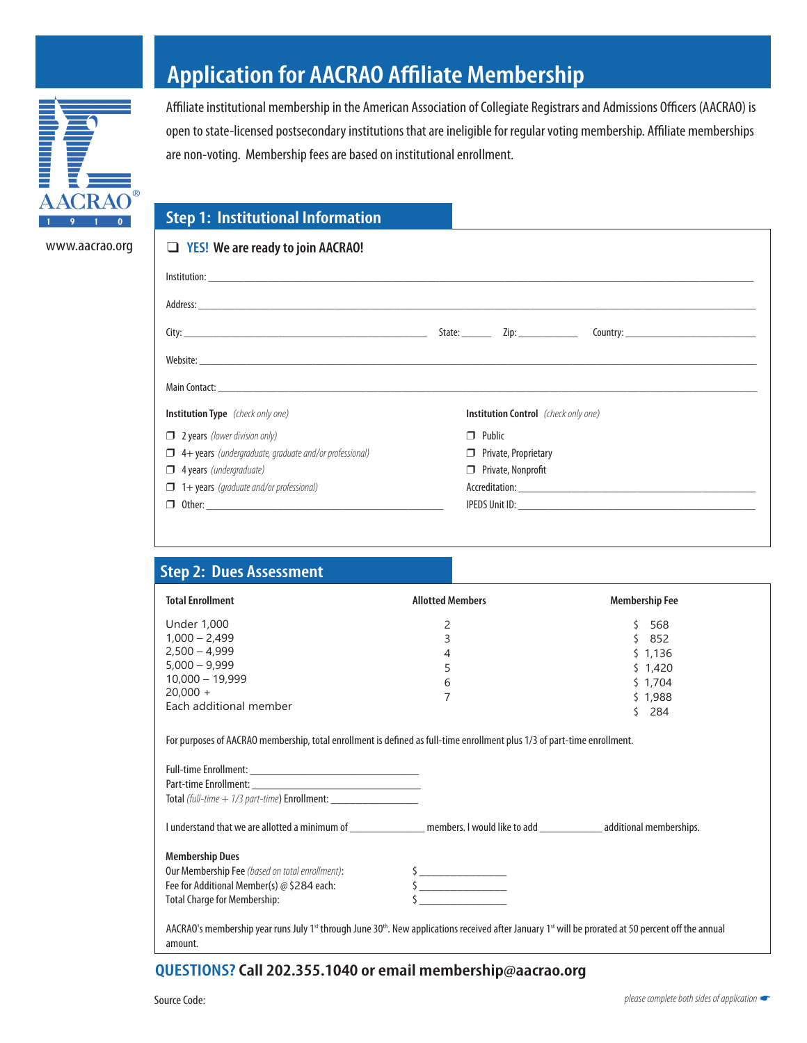

www.aacrao.org

**Application for AACRAO Affiliate Membership**

Affiliate institutional membership in the American Association of Collegiate Registrars and Admissions Officers (AACRAO) is open to state-licensed postsecondary institutions that are ineligible for regular voting membership. Affiliate memberships are non-voting. Membership fees are based on institutional enrollment.

## **Step 1: Institutional Information**

| $\Box$ YES! We are ready to join AACRAO!                     |                                             |  |  |  |
|--------------------------------------------------------------|---------------------------------------------|--|--|--|
|                                                              |                                             |  |  |  |
|                                                              |                                             |  |  |  |
|                                                              |                                             |  |  |  |
|                                                              |                                             |  |  |  |
|                                                              |                                             |  |  |  |
| <b>Institution Type</b> (check only one)                     | <b>Institution Control</b> (check only one) |  |  |  |
| $\Box$ 2 years (lower division only)                         | $\Box$ Public                               |  |  |  |
| 4+ years (undergraduate, graduate and/or professional)<br>П. | $\Box$ Private, Proprietary                 |  |  |  |
| $\Box$ 4 years (undergraduate)                               | $\Box$ Private, Nonprofit                   |  |  |  |
| $\Box$ 1+ years (graduate and/or professional)               |                                             |  |  |  |
|                                                              |                                             |  |  |  |

| <b>Step 2: Dues Assessment</b>                                                                                                                                                                      |                                                                                                                                                                                                                                                                                                                                                     |                       |
|-----------------------------------------------------------------------------------------------------------------------------------------------------------------------------------------------------|-----------------------------------------------------------------------------------------------------------------------------------------------------------------------------------------------------------------------------------------------------------------------------------------------------------------------------------------------------|-----------------------|
| <b>Total Enrollment</b>                                                                                                                                                                             | <b>Allotted Members</b>                                                                                                                                                                                                                                                                                                                             | <b>Membership Fee</b> |
| <b>Under 1,000</b>                                                                                                                                                                                  | 2                                                                                                                                                                                                                                                                                                                                                   | 568<br>Ś.             |
| $1,000 - 2,499$                                                                                                                                                                                     | 3                                                                                                                                                                                                                                                                                                                                                   | \$852                 |
| $2.500 - 4.999$                                                                                                                                                                                     | 4                                                                                                                                                                                                                                                                                                                                                   | \$1,136               |
| $5.000 - 9.999$                                                                                                                                                                                     | 5                                                                                                                                                                                                                                                                                                                                                   | \$1,420               |
| $10,000 - 19,999$                                                                                                                                                                                   | 6                                                                                                                                                                                                                                                                                                                                                   | \$1,704               |
| $20,000 +$                                                                                                                                                                                          | 7                                                                                                                                                                                                                                                                                                                                                   | \$1,988               |
| Each additional member                                                                                                                                                                              |                                                                                                                                                                                                                                                                                                                                                     | $5$ 284               |
| Total (full-time + 1/3 part-time) Enrollment: __________________________________                                                                                                                    |                                                                                                                                                                                                                                                                                                                                                     |                       |
|                                                                                                                                                                                                     |                                                                                                                                                                                                                                                                                                                                                     |                       |
| <b>Membership Dues</b>                                                                                                                                                                              |                                                                                                                                                                                                                                                                                                                                                     |                       |
| Our Membership Fee (based on total enrollment):                                                                                                                                                     |                                                                                                                                                                                                                                                                                                                                                     |                       |
| Fee for Additional Member(s) @ \$284 each:                                                                                                                                                          | $\begin{picture}(20,20) \put(0,0){\line(1,0){10}} \put(15,0){\line(1,0){10}} \put(15,0){\line(1,0){10}} \put(15,0){\line(1,0){10}} \put(15,0){\line(1,0){10}} \put(15,0){\line(1,0){10}} \put(15,0){\line(1,0){10}} \put(15,0){\line(1,0){10}} \put(15,0){\line(1,0){10}} \put(15,0){\line(1,0){10}} \put(15,0){\line(1,0){10}} \put(15,0){\line(1$ |                       |
| <b>Total Charge for Membership:</b>                                                                                                                                                                 |                                                                                                                                                                                                                                                                                                                                                     |                       |
| AACRAO's membership year runs July 1 <sup>st</sup> through June 30 <sup>th</sup> . New applications received after January 1 <sup>st</sup> will be prorated at 50 percent off the annual<br>amount. |                                                                                                                                                                                                                                                                                                                                                     |                       |

## **QUESTIONS?Call 202.355.1040 or email membership@aacrao.org**